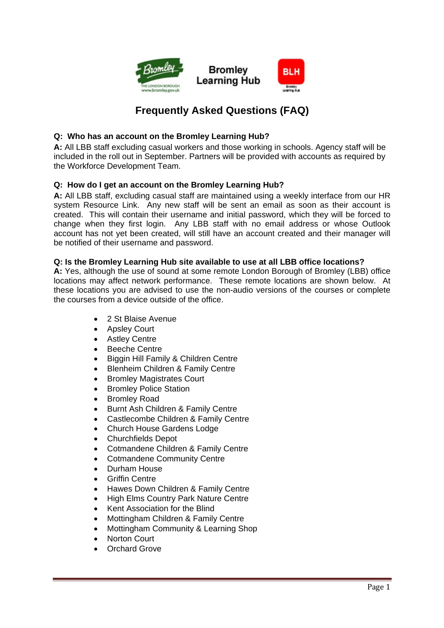

# **Frequently Asked Questions (FAQ)**

# **Q: Who has an account on the Bromley Learning Hub?**

**A:** All LBB staff excluding casual workers and those working in schools. Agency staff will be included in the roll out in September. Partners will be provided with accounts as required by the Workforce Development Team.

# **Q: How do I get an account on the Bromley Learning Hub?**

**A:** All LBB staff, excluding casual staff are maintained using a weekly interface from our HR system Resource Link. Any new staff will be sent an email as soon as their account is created. This will contain their username and initial password, which they will be forced to change when they first login. Any LBB staff with no email address or whose Outlook account has not yet been created, will still have an account created and their manager will be notified of their username and password.

#### **Q: Is the Bromley Learning Hub site available to use at all LBB office locations?**

**A:** Yes, although the use of sound at some remote London Borough of Bromley (LBB) office locations may affect network performance. These remote locations are shown below. At these locations you are advised to use the non-audio versions of the courses or complete the courses from a device outside of the office.

- 2 St Blaise Avenue
- Apsley Court
- **Astley Centre**
- Beeche Centre
- Biggin Hill Family & Children Centre
- Blenheim Children & Family Centre
- Bromley Magistrates Court
- Bromley Police Station
- Bromley Road
- Burnt Ash Children & Family Centre
- Castlecombe Children & Family Centre
- Church House Gardens Lodge
- Churchfields Depot
- Cotmandene Children & Family Centre
- Cotmandene Community Centre
- Durham House
- **Griffin Centre**
- Hawes Down Children & Family Centre
- High Elms Country Park Nature Centre
- Kent Association for the Blind
- Mottingham Children & Family Centre
- Mottingham Community & Learning Shop
- Norton Court
- Orchard Grove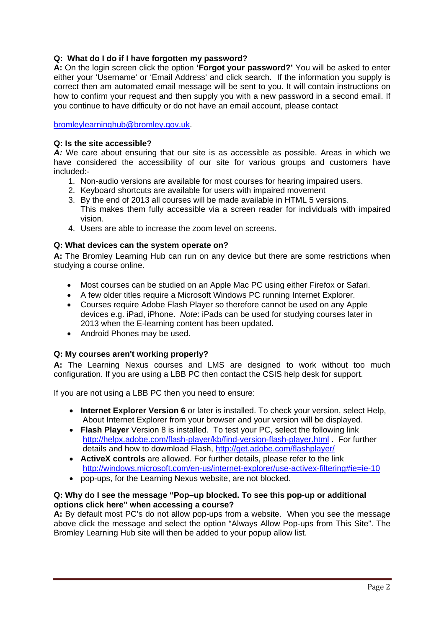# **Q: What do I do if I have forgotten my password?**

**A:** On the login screen click the option **'Forgot your password?'** You will be asked to enter either your 'Username' or 'Email Address' and click search. If the information you supply is correct then am automated email message will be sent to you. It will contain instructions on how to confirm your request and then supply you with a new password in a second email. If you continue to have difficulty or do not have an email account, please contact

bromleylearninghub@bromley.gov.uk.

### **Q: Is the site accessible?**

*A:* We care about ensuring that our site is as accessible as possible. Areas in which we have considered the accessibility of our site for various groups and customers have included:-

- 1. Non-audio versions are available for most courses for hearing impaired users.
- 2. Keyboard shortcuts are available for users with impaired movement
- 3. By the end of 2013 all courses will be made available in HTML 5 versions. This makes them fully accessible via a screen reader for individuals with impaired vision.
- 4. Users are able to increase the zoom level on screens.

# **Q: What devices can the system operate on?**

**A:** The Bromley Learning Hub can run on any device but there are some restrictions when studying a course online.

- Most courses can be studied on an Apple Mac PC using either Firefox or Safari.
- A few older titles require a Microsoft Windows PC running Internet Explorer.
- Courses require Adobe Flash Player so therefore cannot be used on any Apple devices e.g. iPad, iPhone. *Note*: iPads can be used for studying courses later in 2013 when the E-learning content has been updated.
- Android Phones may be used.

# **Q: My courses aren't working properly?**

**A:** The Learning Nexus courses and LMS are designed to work without too much configuration. If you are using a LBB PC then contact the CSIS help desk for support.

If you are not using a LBB PC then you need to ensure:

- **Internet Explorer Version 6** or later is installed. To check your version, select Help, About Internet Explorer from your browser and your version will be displayed.
- **Flash Player** Version 8 is installed. To test your PC, select the following link http://helpx.adobe.com/flash-player/kb/find-version-flash-player.html . For further details and how to dowmload Flash, http://get.adobe.com/flashplayer/
- **ActiveX controls** are allowed. For further details, please refer to the link http://windows.microsoft.com/en-us/internet-explorer/use-activex-filtering#ie=ie-10
- pop-ups, for the Learning Nexus website, are not blocked.

#### **Q: Why do I see the message "Pop–up blocked. To see this pop-up or additional options click here" when accessing a course?**

**A:** By default most PC's do not allow pop-ups from a website. When you see the message above click the message and select the option "Always Allow Pop-ups from This Site". The Bromley Learning Hub site will then be added to your popup allow list.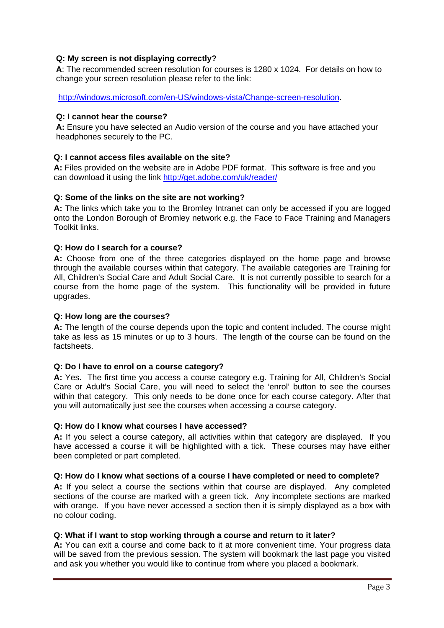# **Q: My screen is not displaying correctly?**

**A**: The recommended screen resolution for courses is 1280 x 1024. For details on how to change your screen resolution please refer to the link:

http://windows.microsoft.com/en-US/windows-vista/Change-screen-resolution.

# **Q: I cannot hear the course?**

**A:** Ensure you have selected an Audio version of the course and you have attached your headphones securely to the PC.

# **Q: I cannot access files available on the site?**

**A:** Files provided on the website are in Adobe PDF format. This software is free and you can download it using the link http://get.adobe.com/uk/reader/

# **Q: Some of the links on the site are not working?**

**A:** The links which take you to the Bromley Intranet can only be accessed if you are logged onto the London Borough of Bromley network e.g. the Face to Face Training and Managers Toolkit links.

# **Q: How do I search for a course?**

**A:** Choose from one of the three categories displayed on the home page and browse through the available courses within that category. The available categories are Training for All, Children's Social Care and Adult Social Care. It is not currently possible to search for a course from the home page of the system. This functionality will be provided in future upgrades.

# **Q: How long are the courses?**

**A:** The length of the course depends upon the topic and content included. The course might take as less as 15 minutes or up to 3 hours. The length of the course can be found on the factsheets.

# **Q: Do I have to enrol on a course category?**

**A:** Yes. The first time you access a course category e.g. Training for All, Children's Social Care or Adult's Social Care, you will need to select the 'enrol' button to see the courses within that category. This only needs to be done once for each course category. After that you will automatically just see the courses when accessing a course category.

# **Q: How do I know what courses I have accessed?**

**A:** If you select a course category, all activities within that category are displayed. If you have accessed a course it will be highlighted with a tick. These courses may have either been completed or part completed.

# **Q: How do I know what sections of a course I have completed or need to complete?**

**A:** If you select a course the sections within that course are displayed. Any completed sections of the course are marked with a green tick. Any incomplete sections are marked with orange. If you have never accessed a section then it is simply displayed as a box with no colour coding.

# **Q: What if I want to stop working through a course and return to it later?**

**A:** You can exit a course and come back to it at more convenient time. Your progress data will be saved from the previous session. The system will bookmark the last page you visited and ask you whether you would like to continue from where you placed a bookmark.